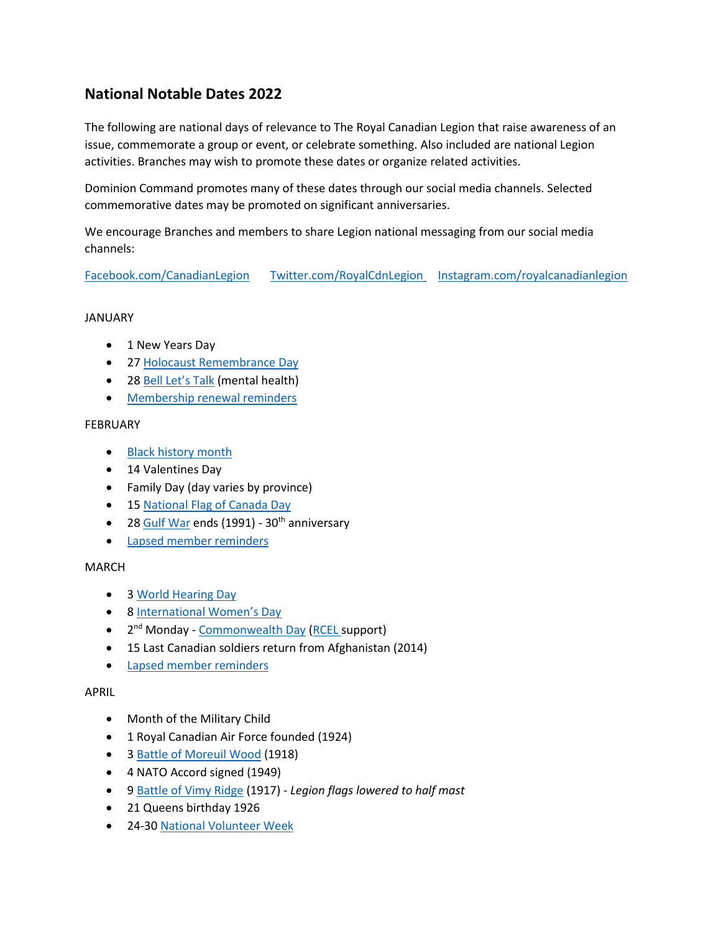# **National Notable Dates 2022**

The following are national days of relevance to The Royal Canadian Legion that raise awareness of an issue, commemorate a group or event, or celebrate something. Also included are national Legion activities. Branches may wish to promote these dates or organize related activities.

Dominion Command promotes many of these dates through our social media channels. Selected commemorative dates may be promoted on significant anniversaries.

We encourage Branches and members to share Legion national messaging from our social media channels:

[Facebook.com/CanadianLegion](https://www.facebook.com/CanadianLegion) [Twitter.com/RoyalCdnLegion](https://twitter.com/RoyalCdnLegion) [Instagram.com/royalcanadianlegion](https://www.instagram.com/royalcanadianlegion/)

### JANUARY

- 1 New Years Day
- 2[7 Holocaust Remembrance Day](http://www.un.org/en/holocaustremembrance/)
- 28 [Bell Let's Talk](https://letstalk.bell.ca/en/) (mental health)
- [Membership renewal reminders](http://www.legion.ca/join-us/renewal)

### FEBRUARY

- [Black history month](https://www.canada.ca/en/canadian-heritage/campaigns/black-history-month.html)
- 14 Valentines Day
- Family Day (day varies by province)
- 1[5 National Flag of Canada Day](https://www.canada.ca/en/canadian-heritage/campaigns/national-flag-canada-day.html)
- 2[8 Gulf War](http://www.veterans.gc.ca/eng/remembrance/history/canadian-armed-forces/persian-gulf) ends (1991) 30<sup>th</sup> anniversary
- [Lapsed member reminders](http://www.legion.ca/join-us/renewal)

# MARCH

- 3 [World Hearing Day](http://www.who.int/pbd/deafness/world-hearing-day/en/)
- 8 [International Women's Day](https://www.internationalwomensday.com/)
- 2<sup>nd</sup> Monday [Commonwealth Day](https://www.canada.ca/en/canadian-heritage/services/important-commemorative-days/commonwealth-day.html) [\(RCEL s](http://www.legion.ca/support-for-veterans/allied-veterans)upport)
- 15 Last Canadian soldiers return from Afghanistan (2014)
- [Lapsed member reminders](http://www.legion.ca/join-us/renewal)

### APRIL

- Month of the Military Child
- 1 Royal Canadian Air Force founded (1924)
- 3 [Battle of Moreuil Wood](https://www.canada.ca/en/department-national-defence/news/2018/03/100th-anniversary-of-the-battle-of-moreuil-wood-commemorated-in-france.html) (1918)
- 4 NATO Accord signed (1949)
- 9 [Battle of Vimy Ridge](https://www.vimyfoundation.ca/learn/vimy-ridge/) (1917) *Legion flags lowered to half mast*
- 21 Queens birthday 1926
- 24-30 [National Volunteer Week](http://volunteer.ca/)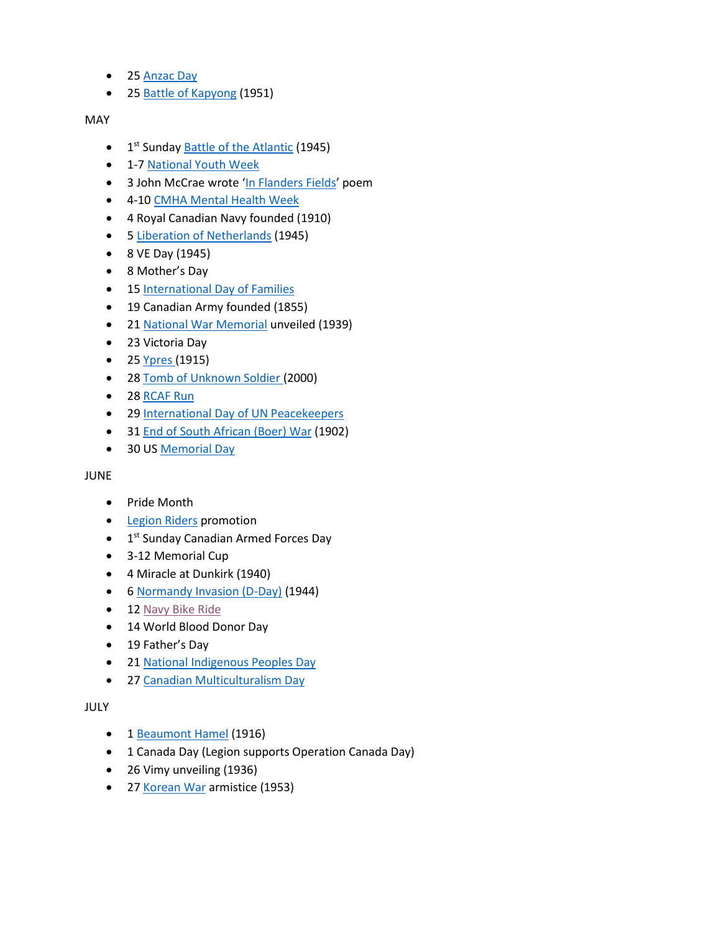- 2[5 Anzac Day](https://www.awm.gov.au/index.php/commemoration/anzac-day/traditions)
- 2[5 Battle of Kapyong](http://www.veterans.gc.ca/eng/remembrance/history/korean-war/kapyong_sheet) (1951)

### MAY

- 1<sup>st</sup> Sunday **Battle of the Atlantic** (1945)
- 1-7 [National Youth Week](http://youthinrecreation.org/national-youth-week)
- 3 John McCrae wrote '[In Flanders Fields](http://www.legion.ca/remembrance/the-poppy/history-of-the-poppy)' poem
- 4-10 CMHA [Mental Health Week](https://mentalhealthweek.ca/)
- 4 Royal Canadian Navy founded (1910)
- 5 [Liberation of](http://www.veterans.gc.ca/eng/remembrance/history/historical-sheets/netherlands) Netherlands (1945)
- 8 VE Day (1945)
- 8 Mother's Day
- 15 International [Day of Families](http://www.un.org/en/events/familyday/)
- 19 Canadian Army founded (1855)
- 2[1 National War Memorial](http://www.veterans.gc.ca/eng/remembrance/memorials/canada/national) unveiled (1939)
- 23 Victoria Day
- 2[5 Ypres \(](http://www.veterans.gc.ca/eng/remembrance/history/first-world-war/canada/canada4)1915)
- 2[8 Tomb of Unknown Soldier \(](http://www.legion.ca/remembrance/promoting-remembrance/memorials-and-cenotaphs/bringing-the-unknown-soldier-home)2000)
- 28 [RCAF Run](https://rcafrun.ca/)
- 29 International [Day of UN Peacekeepers](http://www.un.org/en/events/peacekeepersday/)
- 3[1 End of South African \(Boer\) War](https://www.warmuseum.ca/cwm/exhibitions/boer/boerwarhistory_e.shtml) (1902)
- 30 US [Memorial Day](http://www.usmemorialday.org/)

### JUNE

- Pride Month
- [Legion Riders](http://www.legion.ca/communities-youth/legion-riders) promotion
- 1<sup>st</sup> Sunday Canadian Armed Forces Day
- 3-12 Memorial Cup
- 4 Miracle at Dunkirk (1940)
- 6 [Normandy Invasion \(D-Day\)](http://www.veterans.gc.ca/eng/remembrance/history/historical-sheets/d-day) (1944)
- 1[2 Navy Bike Ride](http://navybikeride.ca/)
- 14 World Blood Donor Day
- 19 Father's Day
- 2[1 National Indigenous Peoples Day](https://www.rcaanc-cirnac.gc.ca/eng/1100100013248/1534872397533)
- 2[7 Canadian Multiculturalism Day](https://www.canada.ca/en/canadian-heritage/campaigns/celebrate-canada-days/multiculturalism-day.html)

# JULY

- 1 [Beaumont Hamel](http://www.veterans.gc.ca/eng/remembrance/history/first-world-war/fact_sheets/beaumont-hamel) (1916)
- 1 Canada Day (Legion supports Operation Canada Day)
- 26 Vimy unveiling (1936)
- 2[7 Korean War](http://www.veterans.gc.ca/eng/remembrance/history/korean-war) armistice (1953)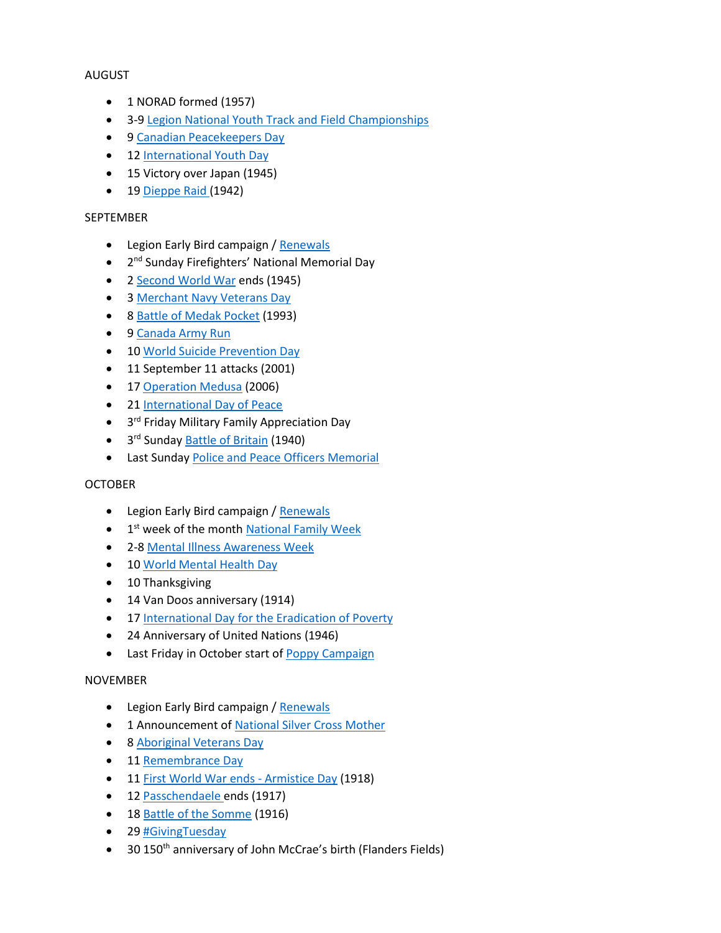### AUGUST

- 1 NORAD formed (1957)
- 3-9 [Legion National Youth Track and Field Championships](https://www.legion.ca/communities-youth/youth-leadership-and-sports/national-youth-track-and-field-championships)
- 9 [Canadian Peacekeepers Day](http://www.veterans.gc.ca/eng/remembrance/history/canadian-armed-forces/peacekeeping)
- 1[2 International Youth Day](http://www.un.org/en/events/youthday/)
- 15 Victory over Japan (1945)
- 1[9 Dieppe Raid \(](http://www.veterans.gc.ca/eng/remembrance/history/second-world-war/1942-dieppe-raid)1942)

### SEPTEMBER

- Legion Early Bird campaign / [Renewals](https://www.legion.ca/join-us/renewal)
- 2<sup>nd</sup> Sunday Firefighters' National Memorial Day
- 2 [Second World War](http://www.veterans.gc.ca/eng/remembrance/history/second-world-war/1942-dieppe-raid) ends (1945)
- 3 [Merchant Navy Veterans Day](http://www.veterans.gc.ca/eng/remembrance/history/historical-sheets/merchant)
- 8 [Battle of Medak Pocket](https://www.youtube.com/watch?v=UySJlq92AXw&feature=youtu.be) (1993)
- 9 [Canada Army Run](https://armyrun.ca/)
- 1[0 World Suicide Prevention Day](https://suicideprevention.ca/wspd/)
- 11 September 11 attacks (2001)
- 1[7 Operation Medusa](https://legionmagazine.com/en/2007/09/operation-medusa-the-battle-for-panjwai/) (2006)
- 2[1 International Day of Peace](http://www.un.org/en/events/peaceday/)
- 3<sup>rd</sup> Friday Military Family Appreciation Day
- 3<sup>rd</sup> Sunday **Battle of Britain** (1940)
- Last Sunday [Police and Peace Officers Memorial](https://www.thememorial.ca/memorial/index/introduction)

### **OCTOBER**

- Legion Early Bird campaign / [Renewals](https://www.legion.ca/join-us/renewal)
- 1<sup>st</sup> week of the month **[National Family Week](http://www.frp.ca/index.cfm?fuseaction=page.viewpage&pageid=1018&grandparentID=474&parentID=596)**
- 2-8 [Mental Illness Awareness Week](http://www.miaw.ca/en/default.aspx)
- 1[0 World Mental Health Day](http://www.who.int/mental_health/world-mental-health-day/en/)
- 10 Thanksgiving
- 14 Van Doos anniversary (1914)
- 17 International [Day for the Eradication of Poverty](http://www.un.org/en/events/povertyday/)
- 24 Anniversary of United Nations (1946)
- Last Friday in October start of [Poppy Campaign](http://www.legion.ca/remembrance/the-poppy)

# NOVEMBER

- Legion Early Bird campaign / [Renewals](https://www.legion.ca/join-us/renewal)
- 1 Announcement of [National Silver Cross Mother](http://www.legion.ca/remembrance/silver-cross-mother)
- 8 [Aboriginal Veterans Day](http://www.veterans.gc.ca/eng/remembrance/those-who-served/indigenous-veterans)
- 1[1 Remembrance Day](http://www.legion.ca/remembrance/remembrance-day)
- 1[1 First World War](https://www.warmuseum.ca/firstworldwar/history/after-the-war/remembrance/remembrance-day/) ends Armistice Day (1918)
- 1[2 Passchendaele e](http://www.veterans.gc.ca/eng/remembrance/history/first-world-war/fact_sheets/passchendaele)nds (1917)
- 1[8 Battle of the Somme](http://www.veterans.gc.ca/eng/remembrance/history/first-world-war/fact_sheets/somme) (1916)
- 29 [#GivingTuesday](https://www.givingtuesday.org/)
- 30 150<sup>th</sup> anniversary of John McCrae's birth (Flanders Fields)